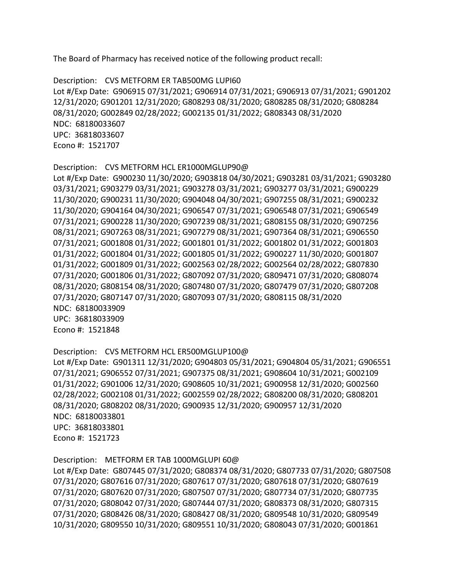The Board of Pharmacy has received notice of the following product recall:

```
 
Description: CVS METFORM ER TAB500MG LUPI60 

Lot #/Exp Date: G906915 07/31/2021; G906914 07/31/2021; G906913 07/31/2021; G901202 

NDC: 68180033607 

Econo #: 1521707 
12/31/2020; G901201 12/31/2020; G808293 08/31/2020; G808285 08/31/2020; G808284 
08/31/2020; G002849 02/28/2022; G002135 01/31/2022; G808343 08/31/2020 
UPC: 36818033607
```

```
 
Description: CVS METFORM HCL ER1000MGLUP90@ 

Lot #/Exp Date: G900230 11/30/2020; G903818 04/30/2021; G903281 03/31/2021; G903280 

NDC: 68180033909 

Econo #: 1521848 
03/31/2021; G903279 03/31/2021; G903278 03/31/2021; G903277 03/31/2021; G900229 
11/30/2020; G900231 11/30/2020; G904048 04/30/2021; G907255 08/31/2021; G900232 
11/30/2020; G904164 04/30/2021; G906547 07/31/2021; G906548 07/31/2021; G906549 
07/31/2021; G900228 11/30/2020; G907239 08/31/2021; G808155 08/31/2020; G907256 
08/31/2021; G907263 08/31/2021; G907279 08/31/2021; G907364 08/31/2021; G906550 
07/31/2021; G001808 01/31/2022; G001801 01/31/2022; G001802 01/31/2022; G001803 
01/31/2022; G001804 01/31/2022; G001805 01/31/2022; G900227 11/30/2020; G001807 
01/31/2022; G001809 01/31/2022; G002563 02/28/2022; G002564 02/28/2022; G807830 
07/31/2020; G001806 01/31/2022; G807092 07/31/2020; G809471 07/31/2020; G808074 
08/31/2020; G808154 08/31/2020; G807480 07/31/2020; G807479 07/31/2020; G807208 
07/31/2020; G807147 07/31/2020; G807093 07/31/2020; G808115 08/31/2020 
UPC: 36818033909
```

```
 
Description: CVS METFORM HCL ER500MGLUP100@ 

NDC: 68180033801 

Econo #: 1521723 
Lot #/Exp Date: G901311 12/31/2020; G904803 05/31/2021; G904804 05/31/2021; G906551 
07/31/2021; G906552 07/31/2021; G907375 08/31/2021; G908604 10/31/2021; G002109 
01/31/2022; G901006 12/31/2020; G908605 10/31/2021; G900958 12/31/2020; G002560 
02/28/2022; G002108 01/31/2022; G002559 02/28/2022; G808200 08/31/2020; G808201 
08/31/2020; G808202 08/31/2020; G900935 12/31/2020; G900957 12/31/2020 
UPC: 36818033801
```

```
 
Description: METFORM ER TAB 1000MGLUPI 60@ 

Lot #/Exp Date: G807445 07/31/2020; G808374 08/31/2020; G807733 07/31/2020; G807508 
07/31/2020; G807616 07/31/2020; G807617 07/31/2020; G807618 07/31/2020; G807619 
07/31/2020; G807620 07/31/2020; G807507 07/31/2020; G807734 07/31/2020; G807735 
07/31/2020; G808042 07/31/2020; G807444 07/31/2020; G808373 08/31/2020; G807315 
07/31/2020; G808426 08/31/2020; G808427 08/31/2020; G809548 10/31/2020; G809549 
10/31/2020; G809550 10/31/2020; G809551 10/31/2020; G808043 07/31/2020; G001861
```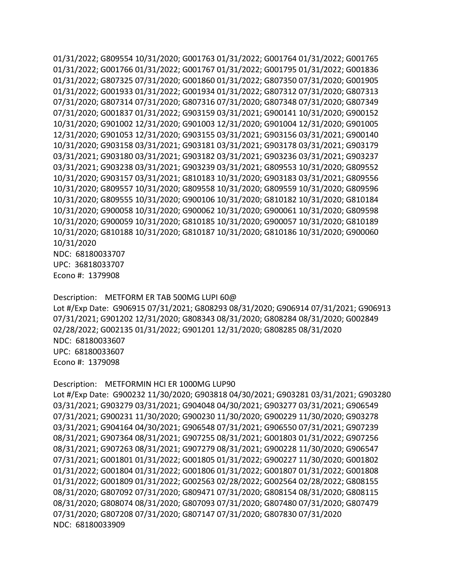NDC: 68180033707 01/31/2022; G809554 10/31/2020; G001763 01/31/2022; G001764 01/31/2022; G001765 01/31/2022; G001766 01/31/2022; G001767 01/31/2022; G001795 01/31/2022; G001836 01/31/2022; G807325 07/31/2020; G001860 01/31/2022; G807350 07/31/2020; G001905 01/31/2022; G001933 01/31/2022; G001934 01/31/2022; G807312 07/31/2020; G807313 07/31/2020; G807314 07/31/2020; G807316 07/31/2020; G807348 07/31/2020; G807349 07/31/2020; G001837 01/31/2022; G903159 03/31/2021; G900141 10/31/2020; G900152 10/31/2020; G901002 12/31/2020; G901003 12/31/2020; G901004 12/31/2020; G901005 12/31/2020; G901053 12/31/2020; G903155 03/31/2021; G903156 03/31/2021; G900140 10/31/2020; G903158 03/31/2021; G903181 03/31/2021; G903178 03/31/2021; G903179 03/31/2021; G903180 03/31/2021; G903182 03/31/2021; G903236 03/31/2021; G903237 03/31/2021; G903238 03/31/2021; G903239 03/31/2021; G809553 10/31/2020; G809552 10/31/2020; G903157 03/31/2021; G810183 10/31/2020; G903183 03/31/2021; G809556 10/31/2020; G809557 10/31/2020; G809558 10/31/2020; G809559 10/31/2020; G809596 10/31/2020; G809555 10/31/2020; G900106 10/31/2020; G810182 10/31/2020; G810184 10/31/2020; G900058 10/31/2020; G900062 10/31/2020; G900061 10/31/2020; G809598 10/31/2020; G900059 10/31/2020; G810185 10/31/2020; G900057 10/31/2020; G810189 10/31/2020; G810188 10/31/2020; G810187 10/31/2020; G810186 10/31/2020; G900060 10/31/2020

 Econo #: 1379908 UPC: 36818033707

 Description: METFORM ER TAB 500MG LUPI 60@ Lot #/Exp Date: G906915 07/31/2021; G808293 08/31/2020; G906914 07/31/2021; G906913 NDC: 68180033607 Econo #: 1379098 07/31/2021; G901202 12/31/2020; G808343 08/31/2020; G808284 08/31/2020; G002849 02/28/2022; G002135 01/31/2022; G901201 12/31/2020; G808285 08/31/2020 UPC: 68180033607

```
 
Description: METFORMIN HCI ER 1000MG LUP90 

Lot #/Exp Date: G900232 11/30/2020; G903818 04/30/2021; G903281 03/31/2021; G903280 

NDC: 68180033909 03/31/2021; G903279 03/31/2021; G904048 04/30/2021; G903277 03/31/2021; G906549 
07/31/2021; G900231 11/30/2020; G900230 11/30/2020; G900229 11/30/2020; G903278 
03/31/2021; G904164 04/30/2021; G906548 07/31/2021; G906550 07/31/2021; G907239 
08/31/2021; G907364 08/31/2021; G907255 08/31/2021; G001803 01/31/2022; G907256 
08/31/2021; G907263 08/31/2021; G907279 08/31/2021; G900228 11/30/2020; G906547 
07/31/2021; G001801 01/31/2022; G001805 01/31/2022; G900227 11/30/2020; G001802 
01/31/2022; G001804 01/31/2022; G001806 01/31/2022; G001807 01/31/2022; G001808 
01/31/2022; G001809 01/31/2022; G002563 02/28/2022; G002564 02/28/2022; G808155 
08/31/2020; G807092 07/31/2020; G809471 07/31/2020; G808154 08/31/2020; G808115 
08/31/2020; G808074 08/31/2020; G807093 07/31/2020; G807480 07/31/2020; G807479 
07/31/2020; G807208 07/31/2020; G807147 07/31/2020; G807830 07/31/2020
```